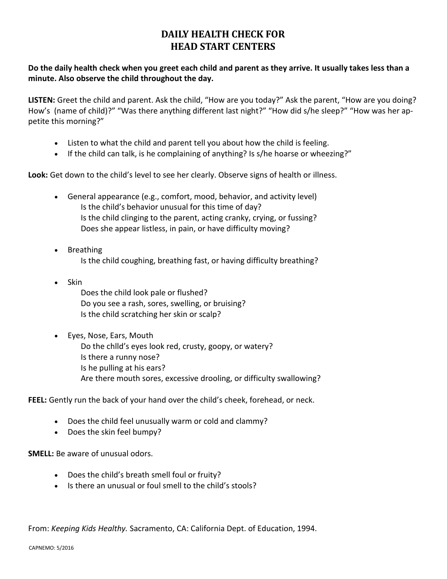## **DAILY HEALTH CHECK FOR HEAD START CENTERS**

## **Do the daily health check when you greet each child and parent as they arrive. It usually takes less than a minute. Also observe the child throughout the day.**

**LISTEN:** Greet the child and parent. Ask the child, "How are you today?" Ask the parent, "How are you doing? How's (name of child)?" "Was there anything different last night?" "How did s/he sleep?" "How was her appetite this morning?"

- Listen to what the child and parent tell you about how the child is feeling.
- If the child can talk, is he complaining of anything? Is s/he hoarse or wheezing?"

**Look:** Get down to the child's level to see her clearly. Observe signs of health or illness.

- General appearance (e.g., comfort, mood, behavior, and activity level) Is the child's behavior unusual for this time of day? Is the child clinging to the parent, acting cranky, crying, or fussing? Does she appear listless, in pain, or have difficulty moving?
- Breathing Is the child coughing, breathing fast, or having difficulty breathing?
- Skin Does the child look pale or flushed? Do you see a rash, sores, swelling, or bruising? Is the child scratching her skin or scalp?
- Eyes, Nose, Ears, Mouth Do the chlld's eyes look red, crusty, goopy, or watery? Is there a runny nose? Is he pulling at his ears? Are there mouth sores, excessive drooling, or difficulty swallowing?

**FEEL:** Gently run the back of your hand over the child's cheek, forehead, or neck.

- Does the child feel unusually warm or cold and clammy?
- Does the skin feel bumpy?

**SMELL:** Be aware of unusual odors.

- Does the child's breath smell foul or fruity?
- Is there an unusual or foul smell to the child's stools?

From: *Keeping Kids Healthy.* Sacramento, CA: California Dept. of Education, 1994.